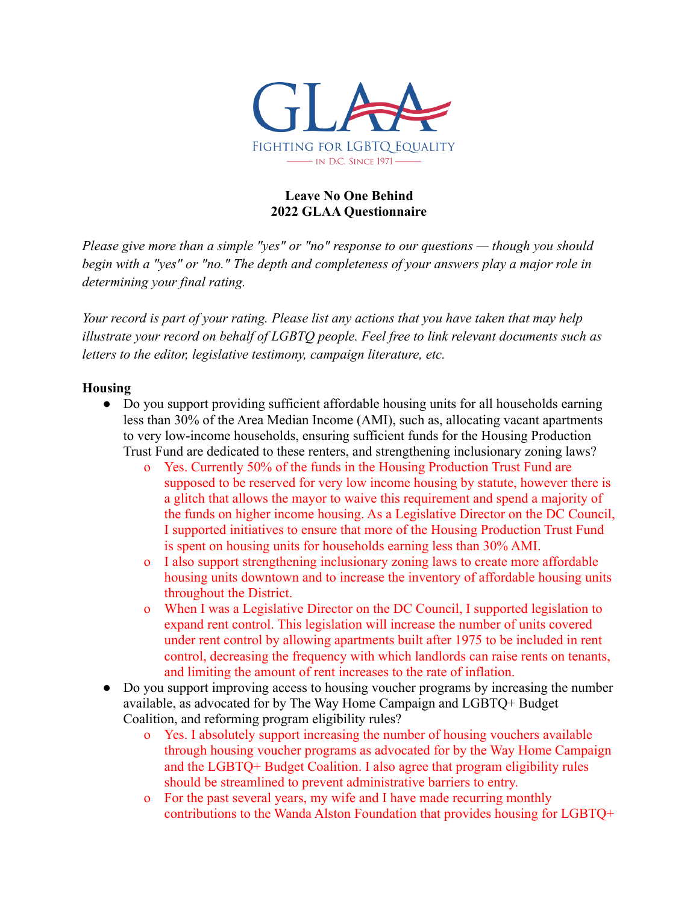

### **Leave No One Behind 2022 GLAA Questionnaire**

*Please give more than a simple "yes" or "no" response to our questions — though you should begin with a "yes" or "no." The depth and completeness of your answers play a major role in determining your final rating.*

*Your record is part of your rating. Please list any actions that you have taken that may help illustrate your record on behalf of LGBTQ people. Feel free to link relevant documents such as letters to the editor, legislative testimony, campaign literature, etc.*

### **Housing**

- Do you support providing sufficient affordable housing units for all households earning less than 30% of the Area Median Income (AMI), such as, allocating vacant apartments to very low-income households, ensuring sufficient funds for the Housing Production Trust Fund are dedicated to these renters, and strengthening inclusionary zoning laws?
	- o Yes. Currently 50% of the funds in the Housing Production Trust Fund are supposed to be reserved for very low income housing by statute, however there is a glitch that allows the mayor to waive this requirement and spend a majority of the funds on higher income housing. As a Legislative Director on the DC Council, I supported initiatives to ensure that more of the Housing Production Trust Fund is spent on housing units for households earning less than 30% AMI.
	- o I also support strengthening inclusionary zoning laws to create more affordable housing units downtown and to increase the inventory of affordable housing units throughout the District.
	- o When I was a Legislative Director on the DC Council, I supported legislation to expand rent control. This legislation will increase the number of units covered under rent control by allowing apartments built after 1975 to be included in rent control, decreasing the frequency with which landlords can raise rents on tenants, and limiting the amount of rent increases to the rate of inflation.
- Do you support improving access to housing voucher programs by increasing the number available, as advocated for by The Way Home Campaign and LGBTQ+ Budget Coalition, and reforming program eligibility rules?
	- o Yes. I absolutely support increasing the number of housing vouchers available through housing voucher programs as advocated for by the Way Home Campaign and the LGBTQ+ Budget Coalition. I also agree that program eligibility rules should be streamlined to prevent administrative barriers to entry.
	- o For the past several years, my wife and I have made recurring monthly contributions to the Wanda Alston Foundation that provides housing for LGBTQ+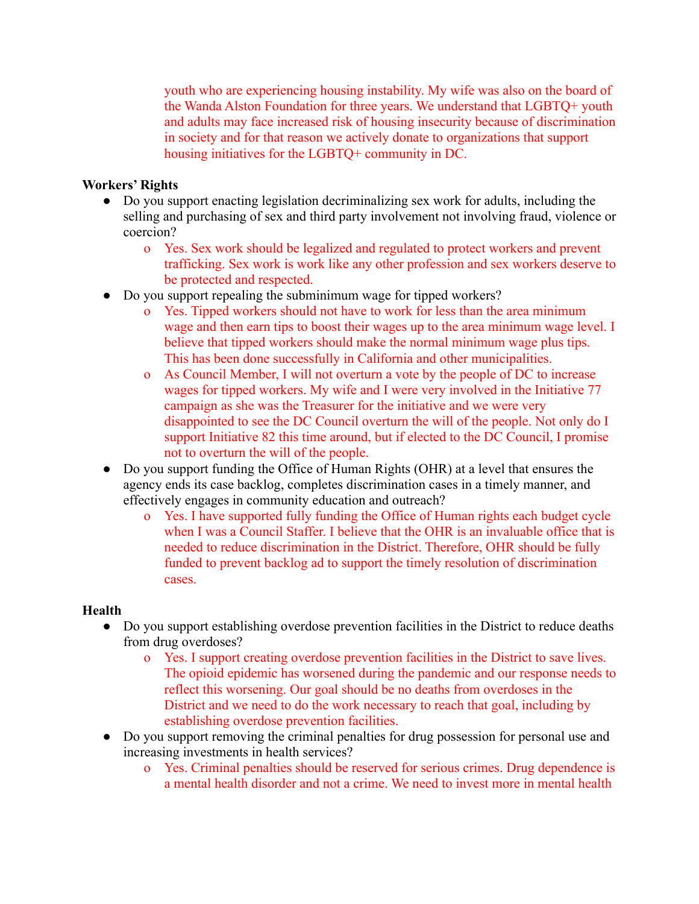youth who are experiencing housing instability. My wife was also on the board of the Wanda Alston Foundation for three years. We understand that LGBTQ+ youth and adults may face increased risk of housing insecurity because of discrimination in society and for that reason we actively donate to organizations that support housing initiatives for the LGBTQ+ community in DC.

# **Workers' Rights**

- Do you support enacting legislation decriminalizing sex work for adults, including the selling and purchasing of sex and third party involvement not involving fraud, violence or coercion?
	- o Yes. Sex work should be legalized and regulated to protect workers and prevent trafficking. Sex work is work like any other profession and sex workers deserve to be protected and respected.
- Do you support repealing the subminimum wage for tipped workers?
	- o Yes. Tipped workers should not have to work for less than the area minimum wage and then earn tips to boost their wages up to the area minimum wage level. I believe that tipped workers should make the normal minimum wage plus tips. This has been done successfully in California and other municipalities.
	- o As Council Member, I will not overturn a vote by the people of DC to increase wages for tipped workers. My wife and I were very involved in the Initiative 77 campaign as she was the Treasurer for the initiative and we were very disappointed to see the DC Council overturn the will of the people. Not only do I support Initiative 82 this time around, but if elected to the DC Council, I promise not to overturn the will of the people.
- Do you support funding the Office of Human Rights (OHR) at a level that ensures the agency ends its case backlog, completes discrimination cases in a timely manner, and effectively engages in community education and outreach?
	- o Yes. I have supported fully funding the Office of Human rights each budget cycle when I was a Council Staffer. I believe that the OHR is an invaluable office that is needed to reduce discrimination in the District. Therefore, OHR should be fully funded to prevent backlog ad to support the timely resolution of discrimination cases.

## **Health**

- Do you support establishing overdose prevention facilities in the District to reduce deaths from drug overdoses?
	- o Yes. I support creating overdose prevention facilities in the District to save lives. The opioid epidemic has worsened during the pandemic and our response needs to reflect this worsening. Our goal should be no deaths from overdoses in the District and we need to do the work necessary to reach that goal, including by establishing overdose prevention facilities.
- Do you support removing the criminal penalties for drug possession for personal use and increasing investments in health services?
	- o Yes. Criminal penalties should be reserved for serious crimes. Drug dependence is a mental health disorder and not a crime. We need to invest more in mental health